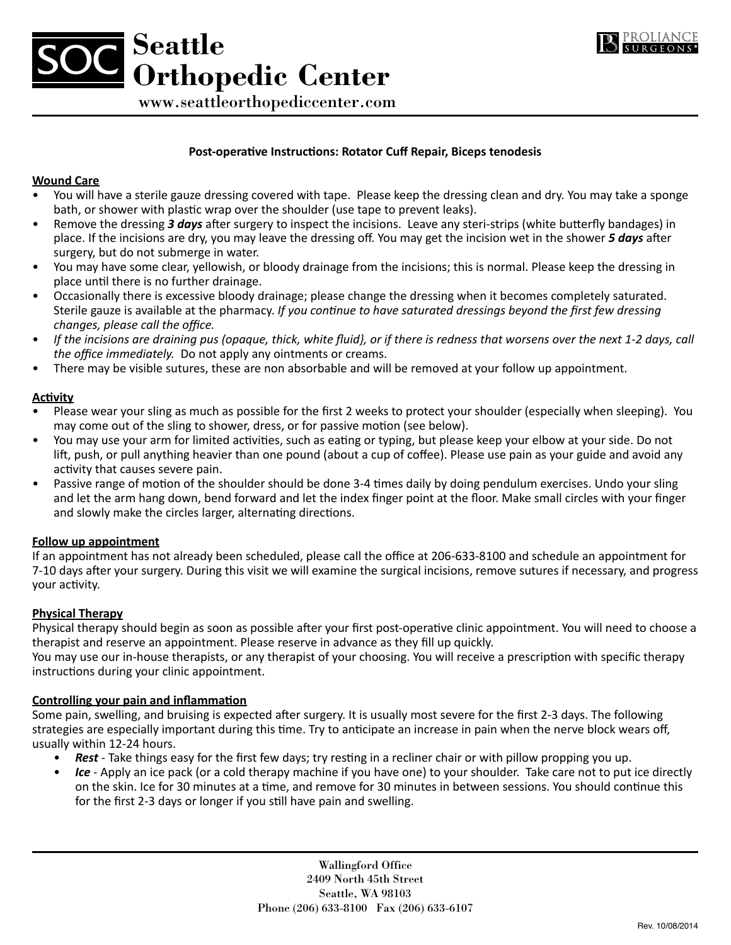



www.seattleorthopediccenter.com

# **Post-operative Instructions: Rotator Cuff Repair, Biceps tenodesis**

### **Wound Care**

- You will have a sterile gauze dressing covered with tape. Please keep the dressing clean and dry. You may take a sponge bath, or shower with plastic wrap over the shoulder (use tape to prevent leaks).
- Remove the dressing *3 days* after surgery to inspect the incisions. Leave any steri-strips (white butterfly bandages) in place. If the incisions are dry, you may leave the dressing off. You may get the incision wet in the shower *5 days* after surgery, but do not submerge in water.
- You may have some clear, yellowish, or bloody drainage from the incisions; this is normal. Please keep the dressing in place until there is no further drainage.
- Occasionally there is excessive bloody drainage; please change the dressing when it becomes completely saturated. Sterile gauze is available at the pharmacy. *If you continue to have saturated dressings beyond the first few dressing changes, please call the office.*
- *If the incisions are draining pus (opaque, thick, white fluid}, or if there is redness that worsens over the next 1-2 days, call the office immediately.* Do not apply any ointments or creams.
- There may be visible sutures, these are non absorbable and will be removed at your follow up appointment.

### **Activity**

- Please wear your sling as much as possible for the first 2 weeks to protect your shoulder (especially when sleeping). You may come out of the sling to shower, dress, or for passive motion (see below).
- You may use your arm for limited activities, such as eating or typing, but please keep your elbow at your side. Do not lift, push, or pull anything heavier than one pound (about a cup of coffee). Please use pain as your guide and avoid any activity that causes severe pain.
- Passive range of motion of the shoulder should be done 3-4 times daily by doing pendulum exercises. Undo your sling and let the arm hang down, bend forward and let the index finger point at the floor. Make small circles with your finger and slowly make the circles larger, alternating directions.

### **Follow up appointment**

If an appointment has not already been scheduled, please call the office at 206-633-8100 and schedule an appointment for 7-10 days after your surgery. During this visit we will examine the surgical incisions, remove sutures if necessary, and progress your activity.

# **Physical Therapy**

Physical therapy should begin as soon as possible after your first post-operative clinic appointment. You will need to choose a therapist and reserve an appointment. Please reserve in advance as they fill up quickly.

You may use our in-house therapists, or any therapist of your choosing. You will receive a prescription with specific therapy instructions during your clinic appointment.

### **Controlling your pain and inflammation**

Some pain, swelling, and bruising is expected after surgery. It is usually most severe for the first 2-3 days. The following strategies are especially important during this time. Try to anticipate an increase in pain when the nerve block wears off, usually within 12-24 hours.

- *Rest* Take things easy for the first few days; try resting in a recliner chair or with pillow propping you up.
- *Ice* Apply an ice pack (or a cold therapy machine if you have one) to your shoulder. Take care not to put ice directly on the skin. Ice for 30 minutes at a time, and remove for 30 minutes in between sessions. You should continue this for the first 2-3 days or longer if you still have pain and swelling.